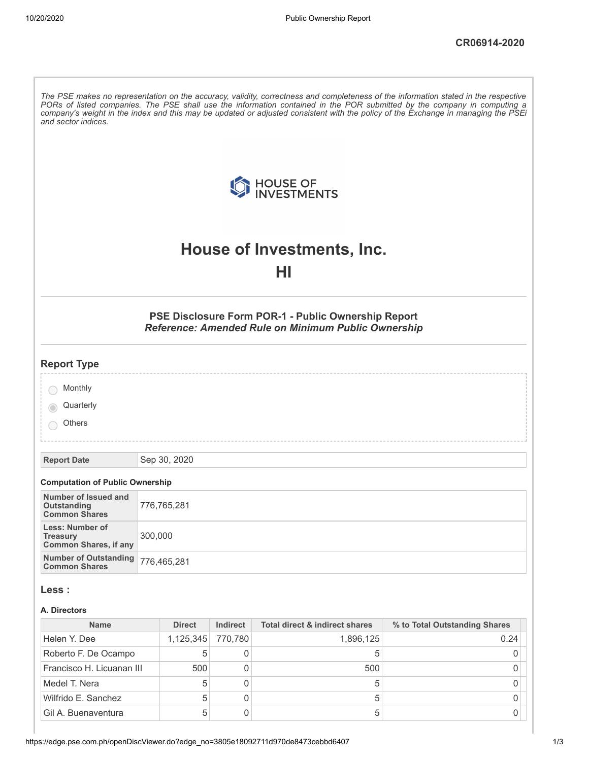|                                                                           |               |                | HOUSE OF INVESTMENTS                                                                                       |                               |
|---------------------------------------------------------------------------|---------------|----------------|------------------------------------------------------------------------------------------------------------|-------------------------------|
|                                                                           |               |                | House of Investments, Inc.                                                                                 |                               |
|                                                                           |               |                | HI                                                                                                         |                               |
|                                                                           |               |                | PSE Disclosure Form POR-1 - Public Ownership Report<br>Reference: Amended Rule on Minimum Public Ownership |                               |
| <b>Report Type</b>                                                        |               |                |                                                                                                            |                               |
| Monthly                                                                   |               |                |                                                                                                            |                               |
| Quarterly                                                                 |               |                |                                                                                                            |                               |
| Others                                                                    |               |                |                                                                                                            |                               |
| <b>Report Date</b>                                                        | Sep 30, 2020  |                |                                                                                                            |                               |
| <b>Computation of Public Ownership</b>                                    |               |                |                                                                                                            |                               |
| Number of Issued and<br>Outstanding<br><b>Common Shares</b>               | 776,765,281   |                |                                                                                                            |                               |
| <b>Less: Number of</b><br><b>Treasury</b><br><b>Common Shares, if any</b> | 300,000       |                |                                                                                                            |                               |
| <b>Number of Outstanding</b><br><b>Common Shares</b>                      | 776,465,281   |                |                                                                                                            |                               |
| Less :                                                                    |               |                |                                                                                                            |                               |
| A. Directors                                                              |               |                |                                                                                                            |                               |
| <b>Name</b>                                                               | <b>Direct</b> | Indirect       | <b>Total direct &amp; indirect shares</b>                                                                  | % to Total Outstanding Shares |
| Helen Y. Dee                                                              | 1,125,345     | 770,780        | 1,896,125                                                                                                  | 0.24                          |
| Roberto F. De Ocampo                                                      | 5             | 0              | 5                                                                                                          | 0                             |
| Francisco H. Licuanan III                                                 | 500           | 0              | 500                                                                                                        | 0                             |
| Medel T. Nera                                                             | 5             | $\overline{0}$ | 5                                                                                                          | 0                             |
| Wilfrido E. Sanchez                                                       | 5             | $\overline{0}$ | 5                                                                                                          | 0                             |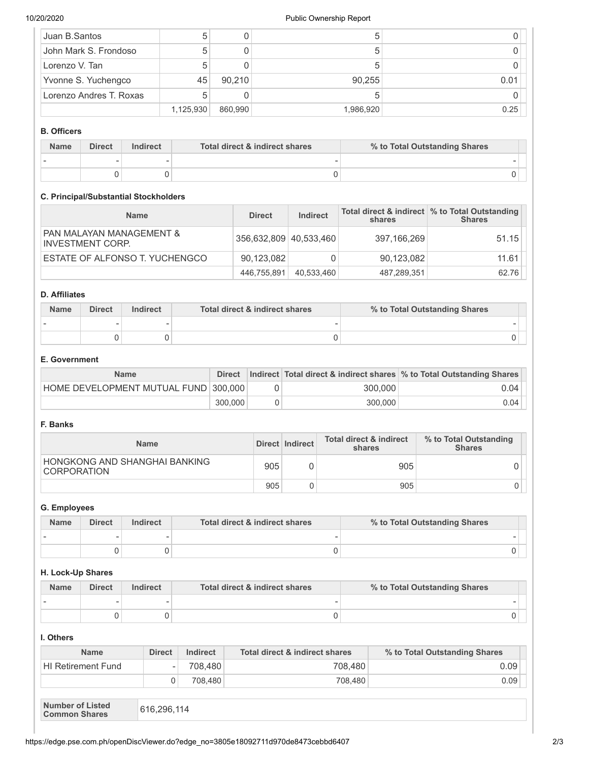| Juan B.Santos           |           |         | 5         |      |
|-------------------------|-----------|---------|-----------|------|
| John Mark S. Frondoso   |           |         | 5         |      |
| Lorenzo V. Tan          |           |         |           |      |
| Yvonne S. Yuchengco     | 45        | 90,210  | 90,255    | 0.01 |
| Lorenzo Andres T. Roxas |           |         |           |      |
|                         | 1,125,930 | 860,990 | 1,986,920 | 0.25 |

## **B. Officers**

| <b>Name</b> | <b>Direct</b> | Indirect | Total direct & indirect shares | % to Total Outstanding Shares |  |
|-------------|---------------|----------|--------------------------------|-------------------------------|--|
|             |               |          |                                |                               |  |
|             |               |          |                                |                               |  |

## **C. Principal/Substantial Stockholders**

| <b>Name</b>                                  | <b>Direct</b>          | <b>Indirect</b> | shares      | Total direct & indirect \% to Total Outstanding<br><b>Shares</b> |
|----------------------------------------------|------------------------|-----------------|-------------|------------------------------------------------------------------|
| PAN MALAYAN MANAGEMENT &<br>INVESTMENT CORP. | 356,632,809 40,533,460 |                 | 397,166,269 | 51.15                                                            |
| ESTATE OF ALFONSO T. YUCHENGCO               | 90.123.082             |                 | 90,123,082  | 11.61                                                            |
|                                              | 446,755,891            | 40.533.460      | 487,289,351 | 62.76                                                            |

# **D. Affiliates**

| <b>Name</b> | <b>Direct</b> | Indirect | Total direct & indirect shares | % to Total Outstanding Shares |  |
|-------------|---------------|----------|--------------------------------|-------------------------------|--|
|             |               |          |                                |                               |  |
|             |               |          |                                |                               |  |

# **E. Government**

| <b>Name</b>                          | <b>Direct</b> |         | Indirect Total direct & indirect shares \% to Total Outstanding Shares |
|--------------------------------------|---------------|---------|------------------------------------------------------------------------|
| HOME DEVELOPMENT MUTUAL FUND 300.000 |               | 300,000 | 0.04                                                                   |
|                                      | 300,000       | 300,000 | 0.04                                                                   |

# **F. Banks**

| <b>Name</b>                                         |     | Direct   Indirect | <b>Total direct &amp; indirect</b><br>shares | % to Total Outstanding<br><b>Shares</b> |
|-----------------------------------------------------|-----|-------------------|----------------------------------------------|-----------------------------------------|
| HONGKONG AND SHANGHAI BANKING<br><b>CORPORATION</b> | 905 |                   | 905                                          |                                         |
|                                                     | 905 |                   | 905                                          |                                         |

#### **G. Employees**

| <b>Name</b> | <b>Direct</b> | Indirect | Total direct & indirect shares | % to Total Outstanding Shares |  |
|-------------|---------------|----------|--------------------------------|-------------------------------|--|
|             |               |          |                                |                               |  |
|             |               |          |                                |                               |  |

## **H. Lock-Up Shares**

| <b>Name</b> | <b>Direct</b> | Indirect | Total direct & indirect shares | % to Total Outstanding Shares |
|-------------|---------------|----------|--------------------------------|-------------------------------|
|             |               |          |                                |                               |
|             |               |          |                                |                               |

# **I. Others**

| <b>Name</b>                                                    | <b>Direct</b>            | Indirect | Total direct & indirect shares | % to Total Outstanding Shares |
|----------------------------------------------------------------|--------------------------|----------|--------------------------------|-------------------------------|
| <b>HI</b> Retirement Fund                                      | $\overline{\phantom{a}}$ | 708.480  | 708.480                        | 0.09                          |
|                                                                |                          | 708.480  | 708.480                        | 0.09                          |
| <b>Number of Listed</b><br>616,296,114<br><b>Common Shares</b> |                          |          |                                |                               |